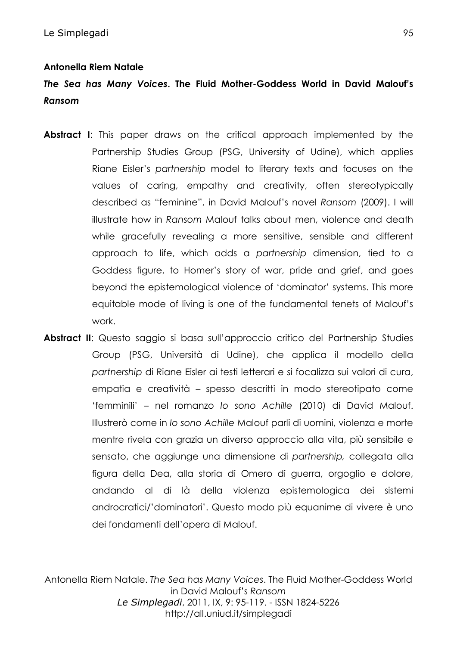#### **Antonella Riem Natale**

# *The Sea has Many Voices***. The Fluid Mother-Goddess World in David Malouf's**  *Ransom*

- **Abstract I**: This paper draws on the critical approach implemented by the Partnership Studies Group (PSG, University of Udine), which applies Riane Eisler's *partnership* model to literary texts and focuses on the values of caring, empathy and creativity, often stereotypically described as "feminine", in David Malouf's novel *Ransom* (2009). I will illustrate how in *Ransom* Malouf talks about men, violence and death while gracefully revealing a more sensitive, sensible and different approach to life, which adds a *partnership* dimension, tied to a Goddess figure, to Homer's story of war, pride and grief, and goes beyond the epistemological violence of 'dominator' systems. This more equitable mode of living is one of the fundamental tenets of Malouf's work.
- **Abstract II**: Questo saggio si basa sull'approccio critico del Partnership Studies Group (PSG, Università di Udine), che applica il modello della *partnership* di Riane Eisler ai testi letterari e si focalizza sui valori di cura, empatia e creatività – spesso descritti in modo stereotipato come 'femminili' – nel romanzo *Io sono Achille* (2010) di David Malouf. Illustrerò come in *Io sono Achille* Malouf parli di uomini, violenza e morte mentre rivela con grazia un diverso approccio alla vita, più sensibile e sensato, che aggiunge una dimensione di *partnership,* collegata alla figura della Dea, alla storia di Omero di guerra, orgoglio e dolore, andando al di là della violenza epistemologica dei sistemi androcratici/'dominatori'. Questo modo più equanime di vivere è uno dei fondamenti dell'opera di Malouf.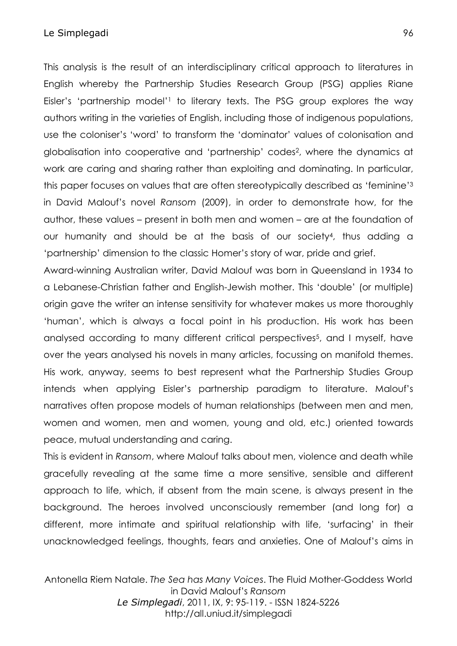#### Le Simplegadi 96

This analysis is the result of an interdisciplinary critical approach to literatures in English whereby the Partnership Studies Research Group (PSG) applies Riane Eisler's 'partnership model'1 to literary texts. The PSG group explores the way authors writing in the varieties of English, including those of indigenous populations, use the coloniser's 'word' to transform the 'dominator' values of colonisation and globalisation into cooperative and 'partnership' codes2, where the dynamics at work are caring and sharing rather than exploiting and dominating. In particular, this paper focuses on values that are often stereotypically described as 'feminine'3 in David Malouf's novel *Ransom* (2009), in order to demonstrate how, for the author, these values – present in both men and women – are at the foundation of our humanity and should be at the basis of our society4, thus adding a 'partnership' dimension to the classic Homer's story of war, pride and grief.

Award-winning Australian writer, David Malouf was born in Queensland in 1934 to a Lebanese-Christian father and English-Jewish mother. This 'double' (or multiple) origin gave the writer an intense sensitivity for whatever makes us more thoroughly 'human', which is always a focal point in his production. His work has been analysed according to many different critical perspectives<sup>5</sup>, and I myself, have over the years analysed his novels in many articles, focussing on manifold themes. His work, anyway, seems to best represent what the Partnership Studies Group intends when applying Eisler's partnership paradigm to literature. Malouf's narratives often propose models of human relationships (between men and men, women and women, men and women, young and old, etc.) oriented towards peace, mutual understanding and caring.

This is evident in *Ransom*, where Malouf talks about men, violence and death while gracefully revealing at the same time a more sensitive, sensible and different approach to life, which, if absent from the main scene, is always present in the background. The heroes involved unconsciously remember (and long for) a different, more intimate and spiritual relationship with life, 'surfacing' in their unacknowledged feelings, thoughts, fears and anxieties. One of Malouf's aims in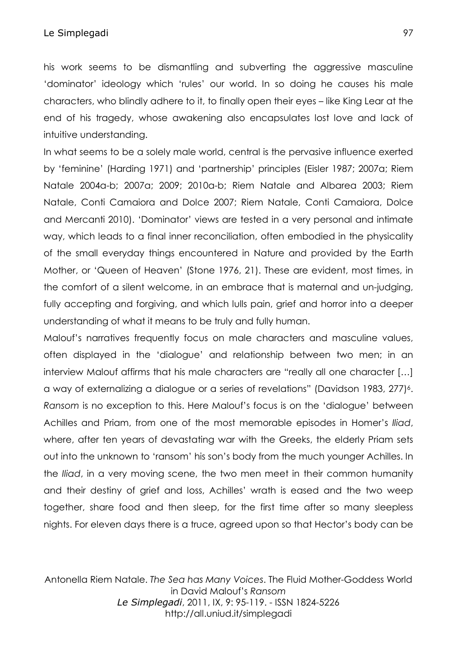his work seems to be dismantling and subverting the aggressive masculine 'dominator' ideology which 'rules' our world. In so doing he causes his male characters, who blindly adhere to it, to finally open their eyes – like King Lear at the end of his tragedy, whose awakening also encapsulates lost love and lack of intuitive understanding.

In what seems to be a solely male world, central is the pervasive influence exerted by 'feminine' (Harding 1971) and 'partnership' principles (Eisler 1987; 2007a; Riem Natale 2004a-b; 2007a; 2009; 2010a-b; Riem Natale and Albarea 2003; Riem Natale, Conti Camaiora and Dolce 2007; Riem Natale, Conti Camaiora, Dolce and Mercanti 2010). 'Dominator' views are tested in a very personal and intimate way, which leads to a final inner reconciliation, often embodied in the physicality of the small everyday things encountered in Nature and provided by the Earth Mother, or 'Queen of Heaven' (Stone 1976, 21). These are evident, most times, in the comfort of a silent welcome, in an embrace that is maternal and un-judging, fully accepting and forgiving, and which lulls pain, grief and horror into a deeper understanding of what it means to be truly and fully human.

Malouf's narratives frequently focus on male characters and masculine values, often displayed in the 'dialogue' and relationship between two men; in an interview Malouf affirms that his male characters are "really all one character […] a way of externalizing a dialogue or a series of revelations" (Davidson 1983, 277)<sup>6</sup>. *Ransom* is no exception to this. Here Malouf's focus is on the 'dialogue' between Achilles and Priam, from one of the most memorable episodes in Homer's *Iliad*, where, after ten years of devastating war with the Greeks, the elderly Priam sets out into the unknown to 'ransom' his son's body from the much younger Achilles. In the *Iliad*, in a very moving scene, the two men meet in their common humanity and their destiny of grief and loss, Achilles' wrath is eased and the two weep together, share food and then sleep, for the first time after so many sleepless nights. For eleven days there is a truce, agreed upon so that Hector's body can be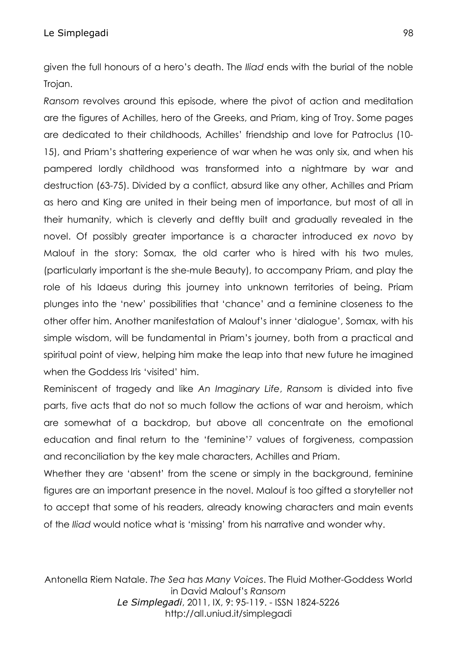given the full honours of a hero's death. The *Iliad* ends with the burial of the noble Trojan.

*Ransom* revolves around this episode, where the pivot of action and meditation are the figures of Achilles, hero of the Greeks, and Priam, king of Troy. Some pages are dedicated to their childhoods, Achilles' friendship and love for Patroclus (10- 15), and Priam's shattering experience of war when he was only six, and when his pampered lordly childhood was transformed into a nightmare by war and destruction (63-75). Divided by a conflict, absurd like any other, Achilles and Priam as hero and King are united in their being men of importance, but most of all in their humanity, which is cleverly and deftly built and gradually revealed in the novel. Of possibly greater importance is a character introduced *ex novo* by Malouf in the story: Somax, the old carter who is hired with his two mules, (particularly important is the she-mule Beauty), to accompany Priam, and play the role of his Idaeus during this journey into unknown territories of being. Priam plunges into the 'new' possibilities that 'chance' and a feminine closeness to the other offer him. Another manifestation of Malouf's inner 'dialogue', Somax, with his simple wisdom, will be fundamental in Priam's journey, both from a practical and spiritual point of view, helping him make the leap into that new future he imagined when the Goddess Iris 'visited' him.

Reminiscent of tragedy and like *An Imaginary Life*, *Ransom* is divided into five parts, five acts that do not so much follow the actions of war and heroism, which are somewhat of a backdrop, but above all concentrate on the emotional education and final return to the 'feminine'7 values of forgiveness, compassion and reconciliation by the key male characters, Achilles and Priam.

Whether they are 'absent' from the scene or simply in the background, feminine figures are an important presence in the novel. Malouf is too gifted a storyteller not to accept that some of his readers, already knowing characters and main events of the *Iliad* would notice what is 'missing' from his narrative and wonder why.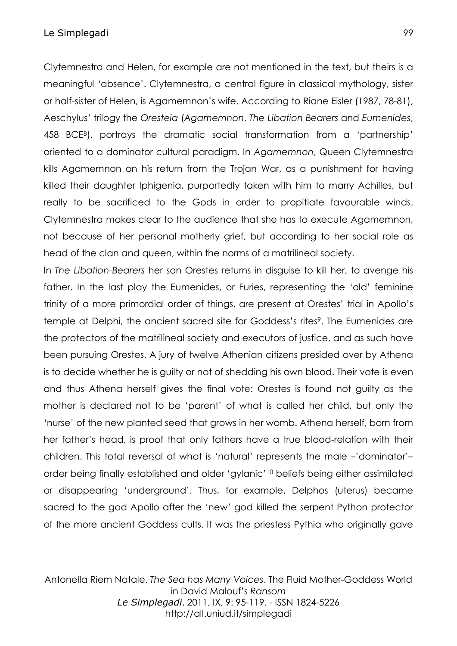Clytemnestra and Helen, for example are not mentioned in the text, but theirs is a meaningful 'absence'. Clytemnestra, a central figure in classical mythology, sister or half-sister of Helen, is Agamemnon's wife. According to Riane Eisler (1987, 78-81), Aeschylus' trilogy the *Oresteia* (*Agamemnon*, *The Libation Bearers* and *Eumenides*, 458 BCE8), portrays the dramatic social transformation from a 'partnership' oriented to a dominator cultural paradigm. In *Agamemnon*, Queen Clytemnestra kills Agamemnon on his return from the Trojan War, as a punishment for having killed their daughter Iphigenia, purportedly taken with him to marry Achilles, but really to be sacrificed to the Gods in order to propitiate favourable winds. Clytemnestra makes clear to the audience that she has to execute Agamemnon, not because of her personal motherly grief, but according to her social role as head of the clan and queen, within the norms of a matrilineal society.

In *The Libation-Bearers* her son Orestes returns in disguise to kill her, to avenge his father. In the last play the Eumenides, or Furies, representing the 'old' feminine trinity of a more primordial order of things, are present at Orestes' trial in Apollo's temple at Delphi, the ancient sacred site for Goddess's rites<sup>9</sup>. The Eumenides are the protectors of the matrilineal society and executors of justice, and as such have been pursuing Orestes. A jury of twelve Athenian citizens presided over by Athena is to decide whether he is guilty or not of shedding his own blood. Their vote is even and thus Athena herself gives the final vote: Orestes is found not guilty as the mother is declared not to be 'parent' of what is called her child, but only the 'nurse' of the new planted seed that grows in her womb. Athena herself, born from her father's head, is proof that only fathers have a true blood-relation with their children. This total reversal of what is 'natural' represents the male –'dominator'– order being finally established and older 'gylanic'10 beliefs being either assimilated or disappearing 'underground'. Thus, for example, Delphos (uterus) became sacred to the god Apollo after the 'new' god killed the serpent Python protector of the more ancient Goddess cults. It was the priestess Pythia who originally gave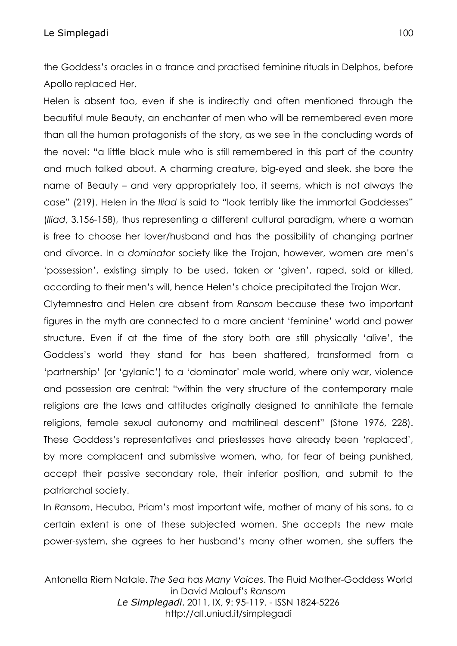the Goddess's oracles in a trance and practised feminine rituals in Delphos, before Apollo replaced Her.

Helen is absent too, even if she is indirectly and often mentioned through the beautiful mule Beauty, an enchanter of men who will be remembered even more than all the human protagonists of the story, as we see in the concluding words of the novel: "a little black mule who is still remembered in this part of the country and much talked about. A charming creature, big-eyed and sleek, she bore the name of Beauty – and very appropriately too, it seems, which is not always the case" (219). Helen in the *Iliad* is said to "look terribly like the immortal Goddesses" (*Iliad*, 3.156-158), thus representing a different cultural paradigm, where a woman is free to choose her lover/husband and has the possibility of changing partner and divorce. In a *dominator* society like the Trojan, however, women are men's 'possession', existing simply to be used, taken or 'given', raped, sold or killed, according to their men's will, hence Helen's choice precipitated the Trojan War.

Clytemnestra and Helen are absent from *Ransom* because these two important figures in the myth are connected to a more ancient 'feminine' world and power structure. Even if at the time of the story both are still physically 'alive', the Goddess's world they stand for has been shattered, transformed from a 'partnership' (or 'gylanic') to a 'dominator' male world, where only war, violence and possession are central: "within the very structure of the contemporary male religions are the laws and attitudes originally designed to annihilate the female religions, female sexual autonomy and matrilineal descent" (Stone 1976, 228). These Goddess's representatives and priestesses have already been 'replaced', by more complacent and submissive women, who, for fear of being punished, accept their passive secondary role, their inferior position, and submit to the patriarchal society.

In *Ransom*, Hecuba, Priam's most important wife, mother of many of his sons, to a certain extent is one of these subjected women. She accepts the new male power-system, she agrees to her husband's many other women, she suffers the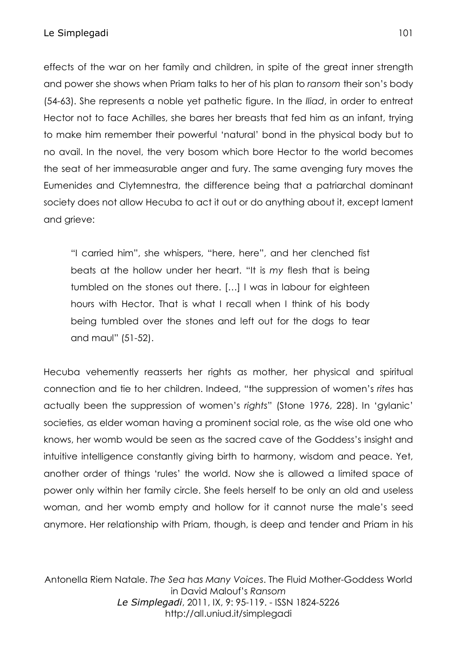effects of the war on her family and children, in spite of the great inner strength and power she shows when Priam talks to her of his plan to *ransom* their son's body (54-63). She represents a noble yet pathetic figure. In the *Iliad*, in order to entreat Hector not to face Achilles, she bares her breasts that fed him as an infant, trying to make him remember their powerful 'natural' bond in the physical body but to no avail. In the novel, the very bosom which bore Hector to the world becomes the seat of her immeasurable anger and fury. The same avenging fury moves the Eumenides and Clytemnestra, the difference being that a patriarchal dominant society does not allow Hecuba to act it out or do anything about it, except lament and grieve:

"I carried him", she whispers, "here, here", and her clenched fist beats at the hollow under her heart. "It is *my* flesh that is being tumbled on the stones out there. […] I was in labour for eighteen hours with Hector. That is what I recall when I think of his body being tumbled over the stones and left out for the dogs to tear and maul" (51-52).

Hecuba vehemently reasserts her rights as mother, her physical and spiritual connection and tie to her children. Indeed, "the suppression of women's *rites* has actually been the suppression of women's *rights*" (Stone 1976, 228). In 'gylanic' societies, as elder woman having a prominent social role, as the wise old one who knows, her womb would be seen as the sacred cave of the Goddess's insight and intuitive intelligence constantly giving birth to harmony, wisdom and peace. Yet, another order of things 'rules' the world. Now she is allowed a limited space of power only within her family circle. She feels herself to be only an old and useless woman, and her womb empty and hollow for it cannot nurse the male's seed anymore. Her relationship with Priam, though, is deep and tender and Priam in his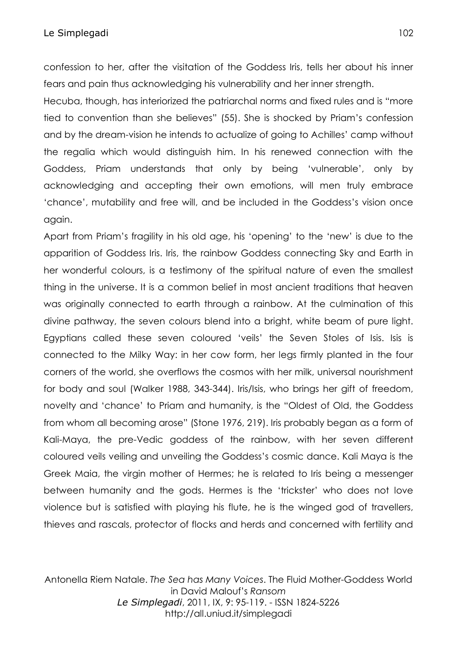confession to her, after the visitation of the Goddess Iris, tells her about his inner fears and pain thus acknowledging his vulnerability and her inner strength.

Hecuba, though, has interiorized the patriarchal norms and fixed rules and is "more tied to convention than she believes" (55). She is shocked by Priam's confession and by the dream-vision he intends to actualize of going to Achilles' camp without the regalia which would distinguish him. In his renewed connection with the Goddess, Priam understands that only by being 'vulnerable', only by acknowledging and accepting their own emotions, will men truly embrace 'chance', mutability and free will, and be included in the Goddess's vision once again.

Apart from Priam's fragility in his old age, his 'opening' to the 'new' is due to the apparition of Goddess Iris. Iris, the rainbow Goddess connecting Sky and Earth in her wonderful colours, is a testimony of the spiritual nature of even the smallest thing in the universe. It is a common belief in most ancient traditions that heaven was originally connected to earth through a rainbow. At the culmination of this divine pathway, the seven colours blend into a bright, white beam of pure light. Egyptians called these seven coloured 'veils' the Seven Stoles of Isis. Isis is connected to the Milky Way: in her cow form, her legs firmly planted in the four corners of the world, she overflows the cosmos with her milk, universal nourishment for body and soul (Walker 1988, 343-344). Iris/Isis, who brings her gift of freedom, novelty and 'chance' to Priam and humanity, is the "Oldest of Old, the Goddess from whom all becoming arose" (Stone 1976, 219). Iris probably began as a form of Kali-Maya, the pre-Vedic goddess of the rainbow, with her seven different coloured veils veiling and unveiling the Goddess's cosmic dance. Kali Maya is the Greek Maia, the virgin mother of Hermes; he is related to Iris being a messenger between humanity and the gods. Hermes is the 'trickster' who does not love violence but is satisfied with playing his flute, he is the winged god of travellers, thieves and rascals, protector of flocks and herds and concerned with fertility and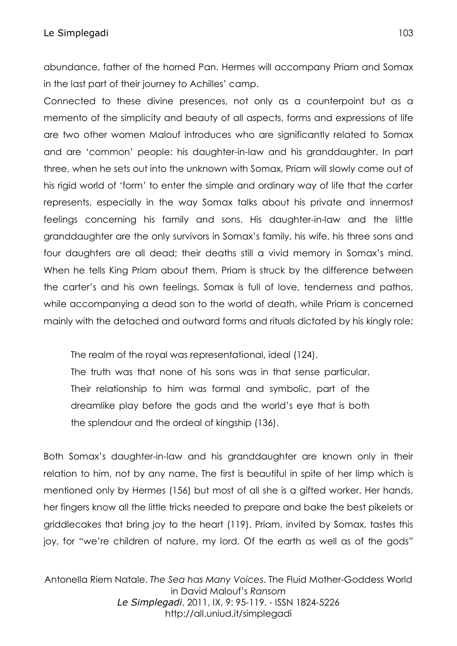abundance, father of the horned Pan. Hermes will accompany Priam and Somax in the last part of their journey to Achilles' camp.

Connected to these divine presences, not only as a counterpoint but as a memento of the simplicity and beauty of all aspects, forms and expressions of life are two other women Malouf introduces who are significantly related to Somax and are 'common' people: his daughter-in-law and his granddaughter. In part three, when he sets out into the unknown with Somax, Priam will slowly come out of his rigid world of 'form' to enter the simple and ordinary way of life that the carter represents, especially in the way Somax talks about his private and innermost feelings concerning his family and sons. His daughter-in-law and the little granddaughter are the only survivors in Somax's family, his wife, his three sons and four daughters are all dead; their deaths still a vivid memory in Somax's mind. When he tells King Priam about them, Priam is struck by the difference between the carter's and his own feelings. Somax is full of love, tenderness and pathos, while accompanying a dead son to the world of death, while Priam is concerned mainly with the detached and outward forms and rituals dictated by his kingly role:

The realm of the royal was representational, ideal (124).

The truth was that none of his sons was in that sense particular. Their relationship to him was formal and symbolic, part of the dreamlike play before the gods and the world's eye that is both the splendour and the ordeal of kingship (136).

Both Somax's daughter-in-law and his granddaughter are known only in their relation to him, not by any name. The first is beautiful in spite of her limp which is mentioned only by Hermes (156) but most of all she is a gifted worker. Her hands, her fingers know all the little tricks needed to prepare and bake the best pikelets or griddlecakes that bring joy to the heart (119). Priam, invited by Somax, tastes this joy, for "we're children of nature, my lord. Of the earth as well as of the gods"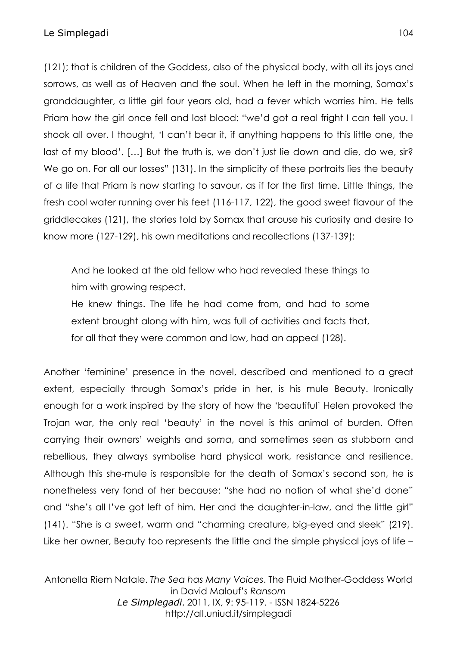(121); that is children of the Goddess, also of the physical body, with all its joys and sorrows, as well as of Heaven and the soul. When he left in the morning, Somax's granddaughter, a little girl four years old, had a fever which worries him. He tells Priam how the girl once fell and lost blood: "we'd got a real fright I can tell you. I shook all over. I thought, 'I can't bear it, if anything happens to this little one, the last of my blood'. […] But the truth is, we don't just lie down and die, do we, sir? We go on. For all our losses" (131). In the simplicity of these portraits lies the beauty of a life that Priam is now starting to savour, as if for the first time. Little things, the fresh cool water running over his feet (116-117, 122), the good sweet flavour of the griddlecakes (121), the stories told by Somax that arouse his curiosity and desire to know more (127-129), his own meditations and recollections (137-139):

And he looked at the old fellow who had revealed these things to him with growing respect.

He knew things. The life he had come from, and had to some extent brought along with him, was full of activities and facts that, for all that they were common and low, had an appeal (128).

Another 'feminine' presence in the novel, described and mentioned to a great extent, especially through Somax's pride in her, is his mule Beauty. Ironically enough for a work inspired by the story of how the 'beautiful' Helen provoked the Trojan war, the only real 'beauty' in the novel is this animal of burden. Often carrying their owners' weights and *soma*, and sometimes seen as stubborn and rebellious, they always symbolise hard physical work, resistance and resilience. Although this she-mule is responsible for the death of Somax's second son, he is nonetheless very fond of her because: "she had no notion of what she'd done" and "she's all I've got left of him. Her and the daughter-in-law, and the little girl" (141). "She is a sweet, warm and "charming creature, big-eyed and sleek" (219). Like her owner, Beauty too represents the little and the simple physical joys of life –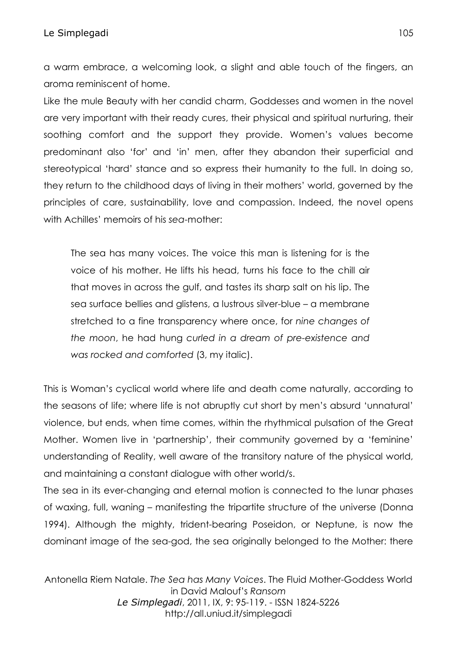a warm embrace, a welcoming look, a slight and able touch of the fingers, an aroma reminiscent of home.

Like the mule Beauty with her candid charm, Goddesses and women in the novel are very important with their ready cures, their physical and spiritual nurturing, their soothing comfort and the support they provide. Women's values become predominant also 'for' and 'in' men, after they abandon their superficial and stereotypical 'hard' stance and so express their humanity to the full. In doing so, they return to the childhood days of living in their mothers' world, governed by the principles of care, sustainability, love and compassion. Indeed, the novel opens with Achilles' memoirs of his *sea*-mother:

The sea has many voices. The voice this man is listening for is the voice of his mother. He lifts his head, turns his face to the chill air that moves in across the gulf, and tastes its sharp salt on his lip. The sea surface bellies and glistens, a lustrous silver-blue – a membrane stretched to a fine transparency where once, for *nine changes of the moon*, he had hung *curled in a dream of pre-existence and was rocked and comforted* (3, my italic).

This is Woman's cyclical world where life and death come naturally, according to the seasons of life; where life is not abruptly cut short by men's absurd 'unnatural' violence, but ends, when time comes, within the rhythmical pulsation of the Great Mother. Women live in 'partnership', their community governed by a 'feminine' understanding of Reality, well aware of the transitory nature of the physical world, and maintaining a constant dialogue with other world/s.

The sea in its ever-changing and eternal motion is connected to the lunar phases of waxing, full, waning – manifesting the tripartite structure of the universe (Donna 1994). Although the mighty, trident-bearing Poseidon, or Neptune, is now the dominant image of the sea-god, the sea originally belonged to the Mother: there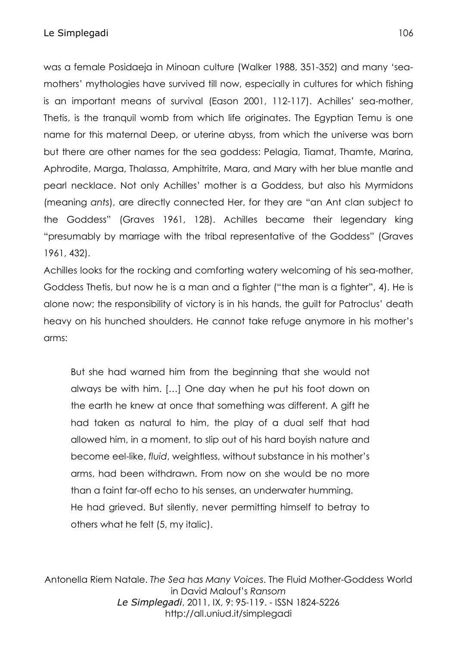was a female Posidaeja in Minoan culture (Walker 1988, 351-352) and many 'seamothers' mythologies have survived till now, especially in cultures for which fishing is an important means of survival (Eason 2001, 112-117). Achilles' sea-mother, Thetis, is the tranquil womb from which life originates. The Egyptian Temu is one name for this maternal Deep, or uterine abyss, from which the universe was born but there are other names for the sea goddess: Pelagia, Tiamat, Thamte, Marina, Aphrodite, Marga, Thalassa, Amphitrite, Mara, and Mary with her blue mantle and pearl necklace. Not only Achilles' mother is a Goddess, but also his Myrmidons (meaning *ants*), are directly connected Her, for they are "an Ant clan subject to the Goddess" (Graves 1961, 128). Achilles became their legendary king "presumably by marriage with the tribal representative of the Goddess" (Graves 1961, 432).

Achilles looks for the rocking and comforting watery welcoming of his sea-mother, Goddess Thetis, but now he is a man and a fighter ("the man is a fighter", 4). He is alone now; the responsibility of victory is in his hands, the guilt for Patroclus' death heavy on his hunched shoulders. He cannot take refuge anymore in his mother's arms:

But she had warned him from the beginning that she would not always be with him. […] One day when he put his foot down on the earth he knew at once that something was different. A gift he had taken as natural to him, the play of a dual self that had allowed him, in a moment, to slip out of his hard boyish nature and become eel-like, *fluid*, weightless, without substance in his mother's arms, had been withdrawn. From now on she would be no more than a faint far-off echo to his senses, an underwater humming. He had grieved. But silently, never permitting himself to betray to others what he felt (5, my italic).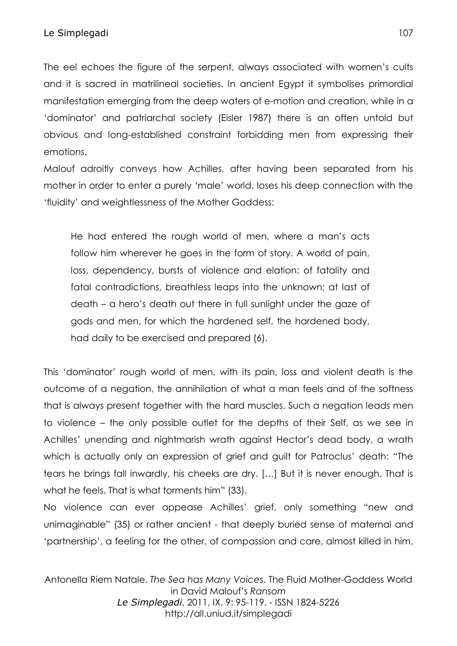The eel echoes the figure of the serpent, always associated with women's cults and it is sacred in matrilineal societies. In ancient Egypt it symbolises primordial manifestation emerging from the deep waters of e-motion and creation, while in a 'dominator' and patriarchal society (Eisler 1987) there is an often untold but obvious and long-established constraint forbidding men from expressing their emotions.

Malouf adroitly conveys how Achilles, after having been separated from his mother in order to enter a purely 'male' world, loses his deep connection with the 'fluidity' and weightlessness of the Mother Goddess:

He had entered the rough world of men, where a man's acts follow him wherever he goes in the form of story. A world of pain, loss, dependency, bursts of violence and elation; of fatality and fatal contradictions, breathless leaps into the unknown; at last of death – a hero's death out there in full sunlight under the gaze of gods and men, for which the hardened self, the hardened body, had daily to be exercised and prepared (6).

This 'dominator' rough world of men, with its pain, loss and violent death is the outcome of a negation, the annihilation of what a man feels and of the softness that is always present together with the hard muscles. Such a negation leads men to violence – the only possible outlet for the depths of their Self, as we see in Achilles' unending and nightmarish wrath against Hector's dead body, a wrath which is actually only an expression of grief and guilt for Patroclus' death: "The tears he brings fall inwardly, his cheeks are dry. […] But it is never enough. That is what he feels. That is what torments him" (33).

No violence can ever appease Achilles' grief, only something "new and unimaginable" (35) or rather ancient - that deeply buried sense of maternal and 'partnership', a feeling for the other, of compassion and care, almost killed in him,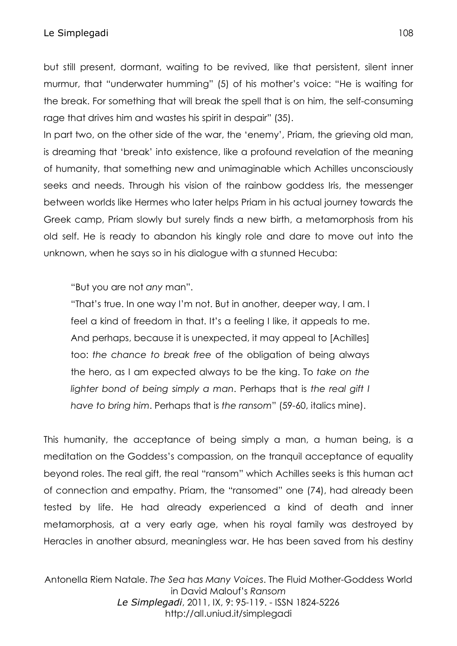but still present, dormant, waiting to be revived, like that persistent, silent inner murmur, that "underwater humming" (5) of his mother's voice: "He is waiting for the break. For something that will break the spell that is on him, the self-consuming rage that drives him and wastes his spirit in despair" (35).

In part two, on the other side of the war, the 'enemy', Priam, the grieving old man, is dreaming that 'break' into existence, like a profound revelation of the meaning of humanity, that something new and unimaginable which Achilles unconsciously seeks and needs. Through his vision of the rainbow goddess Iris, the messenger between worlds like Hermes who later helps Priam in his actual journey towards the Greek camp, Priam slowly but surely finds a new birth, a metamorphosis from his old self. He is ready to abandon his kingly role and dare to move out into the unknown, when he says so in his dialogue with a stunned Hecuba:

"But you are not *any* man".

"That's true. In one way I'm not. But in another, deeper way, I am. I feel a kind of freedom in that. It's a feeling I like, it appeals to me. And perhaps, because it is unexpected, it may appeal to [Achilles] too: *the chance to break free* of the obligation of being always the hero, as I am expected always to be the king. To *take on the lighter bond of being simply a man*. Perhaps that is *the real gift I have to bring him*. Perhaps that is *the ransom*" (59-60, italics mine).

This humanity, the acceptance of being simply a man, a human being, is a meditation on the Goddess's compassion, on the tranquil acceptance of equality beyond roles. The real gift, the real "ransom" which Achilles seeks is this human act of connection and empathy. Priam, the "ransomed" one (74), had already been tested by life. He had already experienced a kind of death and inner metamorphosis, at a very early age, when his royal family was destroyed by Heracles in another absurd, meaningless war. He has been saved from his destiny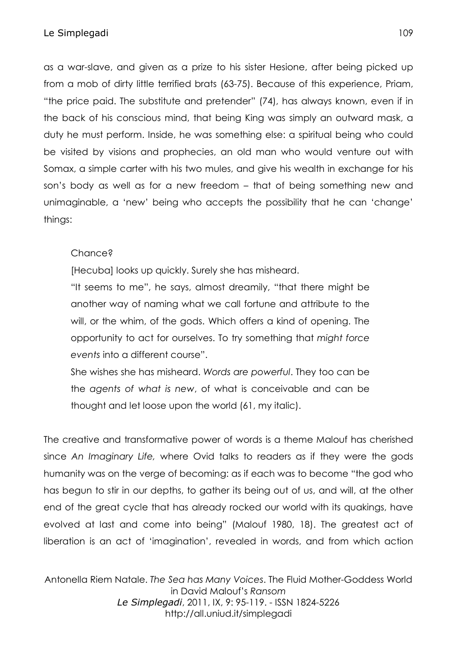as a war-slave, and given as a prize to his sister Hesione, after being picked up from a mob of dirty little terrified brats (63-75). Because of this experience, Priam, "the price paid. The substitute and pretender" (74), has always known, even if in the back of his conscious mind, that being King was simply an outward mask, a duty he must perform. Inside, he was something else: a spiritual being who could be visited by visions and prophecies, an old man who would venture out with Somax, a simple carter with his two mules, and give his wealth in exchange for his son's body as well as for a new freedom – that of being something new and unimaginable, a 'new' being who accepts the possibility that he can 'change' things:

# Chance?

[Hecuba] looks up quickly. Surely she has misheard.

"It seems to me", he says, almost dreamily, "that there might be another way of naming what we call fortune and attribute to the will, or the whim, of the gods. Which offers a kind of opening. The opportunity to act for ourselves. To try something that *might force events* into a different course".

She wishes she has misheard. *Words are powerful*. They too can be the *agents of what is new*, of what is conceivable and can be thought and let loose upon the world (61, my italic).

The creative and transformative power of words is a theme Malouf has cherished since *An Imaginary Life,* where Ovid talks to readers as if they were the gods humanity was on the verge of becoming: as if each was to become "the god who has begun to stir in our depths, to gather its being out of us, and will, at the other end of the great cycle that has already rocked our world with its quakings, have evolved at last and come into being" (Malouf 1980, 18). The greatest act of liberation is an act of 'imagination', revealed in words, and from which action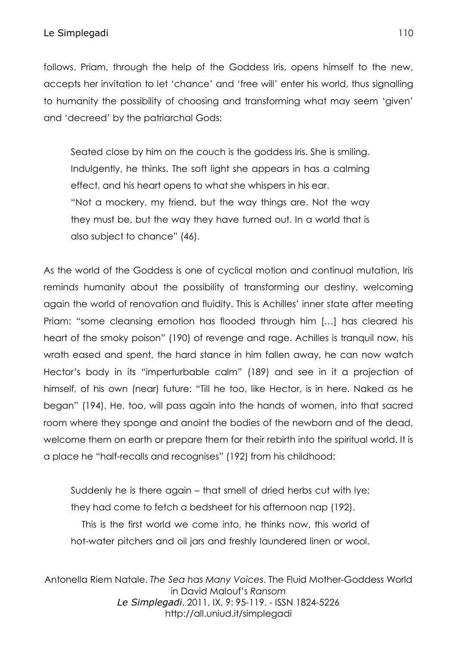follows. Priam, through the help of the Goddess Iris, opens himself to the new, accepts her invitation to let 'chance' and 'free will' enter his world, thus signalling to humanity the possibility of choosing and transforming what may seem 'given' and 'decreed' by the patriarchal Gods:

Seated close by him on the couch is the goddess Iris. She is smiling. Indulgently, he thinks. The soft light she appears in has a calming effect, and his heart opens to what she whispers in his ear. "Not a mockery, my friend, but the way things are. Not the way they must be, but the way they have turned out. In a world that is also subject to chance" (46).

As the world of the Goddess is one of cyclical motion and continual mutation, Iris reminds humanity about the possibility of transforming our destiny, welcoming again the world of renovation and fluidity. This is Achilles' inner state after meeting Priam: "some cleansing emotion has flooded through him […] has cleared his heart of the smoky poison" (190) of revenge and rage. Achilles is tranquil now, his wrath eased and spent, the hard stance in him fallen away, he can now watch Hector's body in its "imperturbable calm" (189) and see in it a projection of himself, of his own (near) future: "Till he too, like Hector, is in here. Naked as he began" (194). He, too, will pass again into the hands of women, into that sacred room where they sponge and anoint the bodies of the newborn and of the dead, welcome them on earth or prepare them for their rebirth into the spiritual world. It is a place he "half-recalls and recognises" (192) from his childhood:

Suddenly he is there again – that smell of dried herbs cut with lye; they had come to fetch a bedsheet for his afternoon nap (192). This is the first world we come into, he thinks now, this world of hot-water pitchers and oil jars and freshly laundered linen or wool.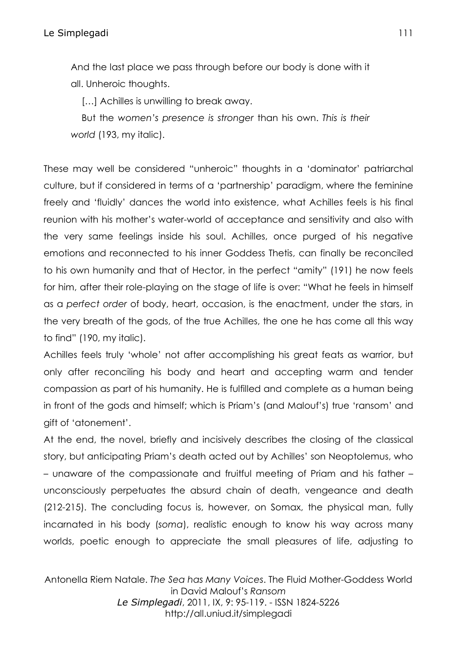And the last place we pass through before our body is done with it all. Unheroic thoughts.

[...] Achilles is unwilling to break away.

But the *women's presence is stronger* than his own. *This is their world* (193, my italic).

These may well be considered "unheroic" thoughts in a 'dominator' patriarchal culture, but if considered in terms of a 'partnership' paradigm, where the feminine freely and 'fluidly' dances the world into existence, what Achilles feels is his final reunion with his mother's water-world of acceptance and sensitivity and also with the very same feelings inside his soul. Achilles, once purged of his negative emotions and reconnected to his inner Goddess Thetis, can finally be reconciled to his own humanity and that of Hector, in the perfect "amity" (191) he now feels for him, after their role-playing on the stage of life is over: "What he feels in himself as a *perfect order* of body, heart, occasion, is the enactment, under the stars, in the very breath of the gods, of the true Achilles, the one he has come all this way to find" (190, my italic).

Achilles feels truly 'whole' not after accomplishing his great feats as warrior, but only after reconciling his body and heart and accepting warm and tender compassion as part of his humanity. He is fulfilled and complete as a human being in front of the gods and himself; which is Priam's (and Malouf's) true 'ransom' and gift of 'atonement'.

At the end, the novel, briefly and incisively describes the closing of the classical story, but anticipating Priam's death acted out by Achilles' son Neoptolemus, who – unaware of the compassionate and fruitful meeting of Priam and his father – unconsciously perpetuates the absurd chain of death, vengeance and death (212-215). The concluding focus is, however, on Somax, the physical man, fully incarnated in his body (*soma*), realistic enough to know his way across many worlds, poetic enough to appreciate the small pleasures of life, adjusting to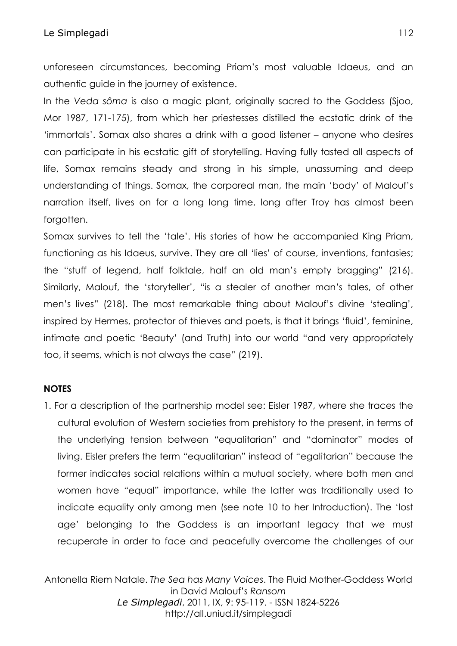### Le Simplegadi 112

unforeseen circumstances, becoming Priam's most valuable Idaeus, and an authentic guide in the journey of existence.

In the *Veda sôma* is also a magic plant, originally sacred to the Goddess (Sjoo, Mor 1987, 171-175), from which her priestesses distilled the ecstatic drink of the 'immortals'. Somax also shares a drink with a good listener – anyone who desires can participate in his ecstatic gift of storytelling. Having fully tasted all aspects of life, Somax remains steady and strong in his simple, unassuming and deep understanding of things. Somax, the corporeal man, the main 'body' of Malouf's narration itself, lives on for a long long time, long after Troy has almost been forgotten.

Somax survives to tell the 'tale'. His stories of how he accompanied King Priam, functioning as his Idaeus, survive. They are all 'lies' of course, inventions, fantasies; the "stuff of legend, half folktale, half an old man's empty bragging" (216). Similarly, Malouf, the 'storyteller', "is a stealer of another man's tales, of other men's lives" (218). The most remarkable thing about Malouf's divine 'stealing', inspired by Hermes, protector of thieves and poets, is that it brings 'fluid', feminine, intimate and poetic 'Beauty' (and Truth) into our world "and very appropriately too, it seems, which is not always the case" (219).

### **NOTES**

1. For a description of the partnership model see: Eisler 1987, where she traces the cultural evolution of Western societies from prehistory to the present, in terms of the underlying tension between "equalitarian" and "dominator" modes of living. Eisler prefers the term "equalitarian" instead of "egalitarian" because the former indicates social relations within a mutual society, where both men and women have "equal" importance, while the latter was traditionally used to indicate equality only among men (see note 10 to her Introduction). The 'lost age' belonging to the Goddess is an important legacy that we must recuperate in order to face and peacefully overcome the challenges of our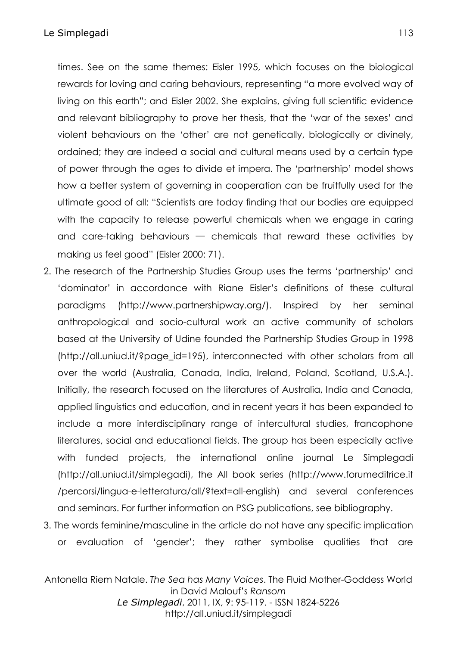times. See on the same themes: Eisler 1995, which focuses on the biological rewards for loving and caring behaviours, representing "a more evolved way of living on this earth"; and Eisler 2002. She explains, giving full scientific evidence and relevant bibliography to prove her thesis, that the 'war of the sexes' and violent behaviours on the 'other' are not genetically, biologically or divinely, ordained; they are indeed a social and cultural means used by a certain type of power through the ages to divide et impera. The 'partnership' model shows how a better system of governing in cooperation can be fruitfully used for the ultimate good of all: "Scientists are today finding that our bodies are equipped with the capacity to release powerful chemicals when we engage in caring and care-taking behaviours  $-$  chemicals that reward these activities by making us feel good" (Eisler 2000: 71).

- 2. The research of the Partnership Studies Group uses the terms 'partnership' and 'dominator' in accordance with Riane Eisler's definitions of these cultural paradigms [\(http://www.partnershipway.org/\)](http://www.partnershipway.org/). Inspired by her seminal anthropological and socio-cultural work an active community of scholars based at the University of Udine founded the Partnership Studies Group in 1998 [\(http://all.uniud.it/?page\\_id=195\)](http://all.uniud.it/?page_id=195), interconnected with other scholars from all over the world (Australia, Canada, India, Ireland, Poland, Scotland, U.S.A.). Initially, the research focused on the literatures of Australia, India and Canada, applied linguistics and education, and in recent years it has been expanded to include a more interdisciplinary range of intercultural studies, francophone literatures, social and educational fields. The group has been especially active with funded projects, the international online journal [Le Simplegadi](http://all.uniud.it/?page_id=111) (http://all.uniud.it/simplegadi), the All book series (http://www.forumeditrice.it /percorsi/lingua-e-letteratura/all/?text=all-english) and several conferences and seminars. For further information on PSG publications, see bibliography.
- 3. The words feminine/masculine in the article do not have any specific implication or evaluation of 'gender'; they rather symbolise qualities that are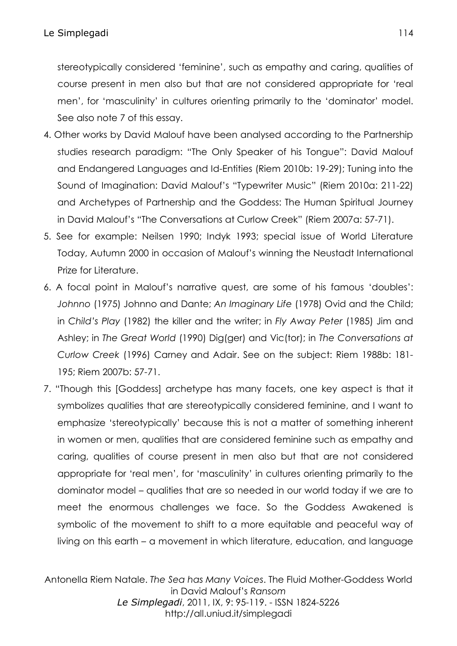stereotypically considered 'feminine', such as empathy and caring, qualities of course present in men also but that are not considered appropriate for 'real men', for 'masculinity' in cultures orienting primarily to the 'dominator' model. See also note 7 of this essay.

- 4. Other works by David Malouf have been analysed according to the Partnership studies research paradigm: "The Only Speaker of his Tongue": David Malouf and Endangered Languages and Id-Entities (Riem 2010b: 19-29); Tuning into the Sound of Imagination: David Malouf's "Typewriter Music" (Riem 2010a: 211-22) and Archetypes of Partnership and the Goddess: The Human Spiritual Journey in David Malouf's "The Conversations at Curlow Creek" (Riem 2007a: 57-71).
- 5. See for example: Neilsen 1990; Indyk 1993; special issue of World Literature Today, Autumn 2000 in occasion of Malouf's winning the Neustadt International Prize for Literature.
- 6. A focal point in Malouf's narrative quest, are some of his famous 'doubles': *Johnno* (1975) Johnno and Dante; *An Imaginary Life* (1978) Ovid and the Child; in *Child's Play* (1982) the killer and the writer; in *Fly Away Peter* (1985) Jim and Ashley; in *The Great World* (1990) Dig(ger) and Vic(tor); in *The Conversations at Curlow Creek* (1996) Carney and Adair. See on the subject: Riem 1988b: 181- 195; Riem 2007b: 57-71.
- 7. "Though this [Goddess] archetype has many facets, one key aspect is that it symbolizes qualities that are stereotypically considered feminine, and I want to emphasize 'stereotypically' because this is not a matter of something inherent in women or men, qualities that are considered feminine such as empathy and caring, qualities of course present in men also but that are not considered appropriate for 'real men', for 'masculinity' in cultures orienting primarily to the dominator model – qualities that are so needed in our world today if we are to meet the enormous challenges we face. So the Goddess Awakened is symbolic of the movement to shift to a more equitable and peaceful way of living on this earth – a movement in which literature, education, and language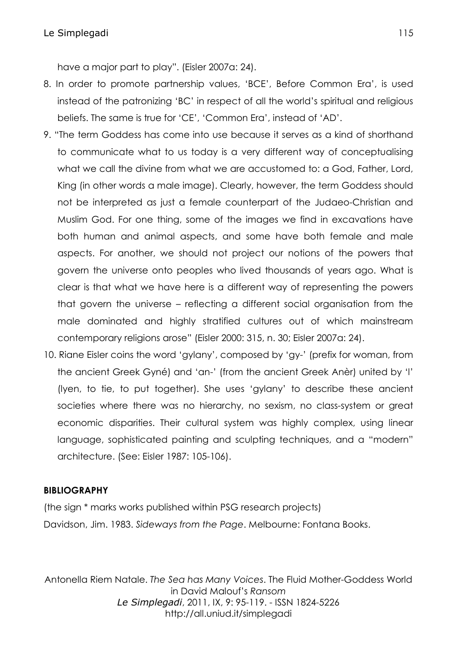have a major part to play". (Eisler 2007a: 24).

- 8. In order to promote partnership values, 'BCE', Before Common Era', is used instead of the patronizing 'BC' in respect of all the world's spiritual and religious beliefs. The same is true for 'CE', 'Common Era', instead of 'AD'.
- 9. "The term Goddess has come into use because it serves as a kind of shorthand to communicate what to us today is a very different way of conceptualising what we call the divine from what we are accustomed to: a God, Father, Lord, King (in other words a male image). Clearly, however, the term Goddess should not be interpreted as just a female counterpart of the Judaeo-Christian and Muslim God. For one thing, some of the images we find in excavations have both human and animal aspects, and some have both female and male aspects. For another, we should not project our notions of the powers that govern the universe onto peoples who lived thousands of years ago. What is clear is that what we have here is a different way of representing the powers that govern the universe – reflecting a different social organisation from the male dominated and highly stratified cultures out of which mainstream contemporary religions arose" (Eisler 2000: 315, n. 30; Eisler 2007a: 24).
- 10. Riane Eisler coins the word 'gylany', composed by 'gy-' (prefix for woman, from the ancient Greek Gyné) and 'an-' (from the ancient Greek Anèr) united by 'l' (lyen, to tie, to put together). She uses 'gylany' to describe these ancient societies where there was no hierarchy, no sexism, no class-system or great economic disparities. Their cultural system was highly complex, using linear language, sophisticated painting and sculpting techniques, and a "modern" architecture. (See: Eisler 1987: 105-106).

### **BIBLIOGRAPHY**

(the sign \* marks works published within PSG research projects) Davidson, Jim. 1983. *Sideways from the Page*. Melbourne: Fontana Books.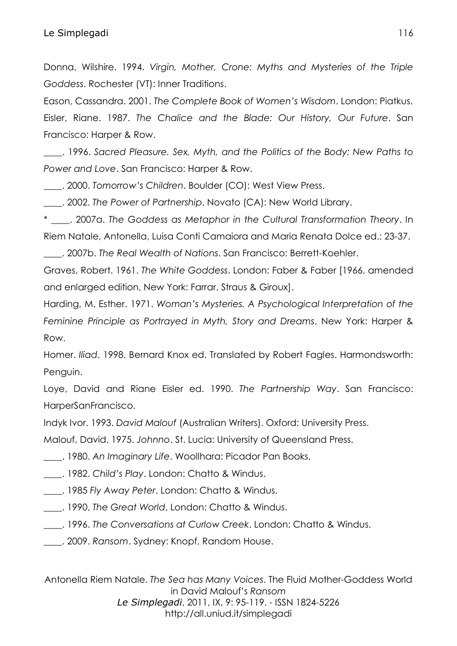Donna, Wilshire. 1994. *Virgin, Mother, Crone: Myths and Mysteries of the Triple Goddess*. Rochester (VT): Inner Traditions.

Eason, Cassandra. 2001. *The Complete Book of Women's Wisdom*. London: Piatkus. Eisler, Riane. 1987. *The Chalice and the Blade: Our History, Our Future*. San Francisco: Harper & Row.

\_\_\_\_. 1996. *Sacred Pleasure. Sex, Myth, and the Politics of the Body: New Paths to Power and Love*. San Francisco: Harper & Row.

\_\_\_\_. 2000. *Tomorrow's Children*. Boulder (CO): West View Press.

\_\_\_\_. 2002. *The Power of Partnership*. Novato (CA): New World Library.

\* \_\_\_\_. 2007a. *The Goddess as Metaphor in the Cultural Transformation Theory*. In Riem Natale, Antonella, Luisa Conti Camaiora and Maria Renata Dolce ed.: 23-37.

\_\_\_\_. 2007b. *The Real Wealth of Nations*. San Francisco: Berrett-Koehler.

Graves, Robert. 1961. *The White Goddess*. London: Faber & Faber [1966, amended and enlarged edition, New York: Farrar, Straus & Giroux].

Harding, M. Esther. 1971. *Woman's Mysteries. A Psychological Interpretation of the Feminine Principle as Portrayed in Myth, Story and Dreams*. New York: Harper & Row.

Homer. *Iliad*. 1998. Bernard Knox ed. Translated by Robert Fagles. Harmondsworth: Penguin.

Loye, David and Riane Eisler ed. 1990. *The Partnership Way*. San Francisco: HarperSanFrancisco.

[Indyk](http://www.goodreads.com/author/show/3852631.Indyk) Ivor. 1993. *David Malouf* (Australian Writers). Oxford: University Press.

Malouf, David. 1975. *Johnno*. St. Lucia: University of Queensland Press.

\_\_\_\_. 1980. *An Imaginary Life*. Woollhara: Picador Pan Books.

\_\_\_\_. 1982. *Child's Play*. London: Chatto & Windus.

\_\_\_\_. 1985 *Fly Away Peter*. London: Chatto & Windus.

- \_\_\_\_. 1990, *The Great World*, London: Chatto & Windus.
- \_\_\_\_. 1996. *The Conversations at Curlow Creek*. London: Chatto & Windus.
- \_\_\_\_. 2009. *Ransom*. Sydney: Knopf, Random House.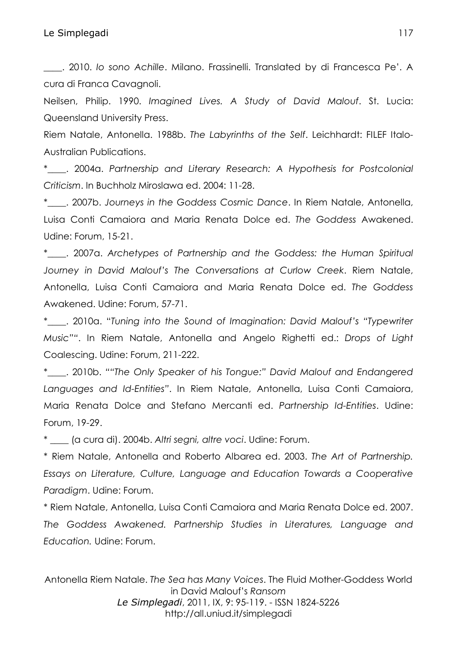\_\_\_\_. 2010. *Io sono Achille*. Milano. Frassinelli. Translated by di Francesca Pe'. A cura di Franca Cavagnoli.

Neilsen, Philip. 1990. *Imagined Lives. A Study of David Malouf*. St. Lucia: Queensland University Press.

Riem Natale, Antonella. 1988b. *The Labyrinths of the Self*. Leichhardt: FILEF Italo-Australian Publications.

\*\_\_\_\_. 2004a. *Partnership and Literary Research: A Hypothesis for Postcolonial Criticism*. In Buchholz Miroslawa ed. 2004: 11-28.

\*\_\_\_\_. 2007b. *Journeys in the Goddess Cosmic Dance*. In Riem Natale, Antonella, Luisa Conti Camaiora and Maria Renata Dolce ed. *The Goddess* Awakened. Udine: Forum, 15-21.

\*\_\_\_\_. 2007a. *Archetypes of Partnership and the Goddess: the Human Spiritual Journey in David Malouf's The Conversations at Curlow Creek*. Riem Natale, Antonella, Luisa Conti Camaiora and Maria Renata Dolce ed. *The Goddess*  Awakened. Udine: Forum, 57-71.

\*\_\_\_\_. 2010a. "*Tuning into the Sound of Imagination: David Malouf's "Typewriter Music""*. In Riem Natale, Antonella and Angelo Righetti ed.: *Drops of Light*  Coalescing. Udine: Forum, 211-222.

\*\_\_\_\_. 2010b. *""The Only Speaker of his Tongue:" David Malouf and Endangered Languages and Id-Entities"*. In Riem Natale, Antonella, Luisa Conti Camaiora, Maria Renata Dolce and Stefano Mercanti ed. *Partnership Id-Entities*. Udine: Forum, 19-29.

\* \_\_\_\_ (a cura di). 2004b. *Altri segni, altre voci*. Udine: Forum.

\* Riem Natale, Antonella and Roberto Albarea ed. 2003. *The Art of Partnership. Essays on Literature, Culture, Language and Education Towards a Cooperative Paradigm*. Udine: Forum.

\* Riem Natale, Antonella, Luisa Conti Camaiora and Maria Renata Dolce ed. 2007. *The Goddess Awakened. Partnership Studies in Literatures, Language and Education.* Udine: Forum.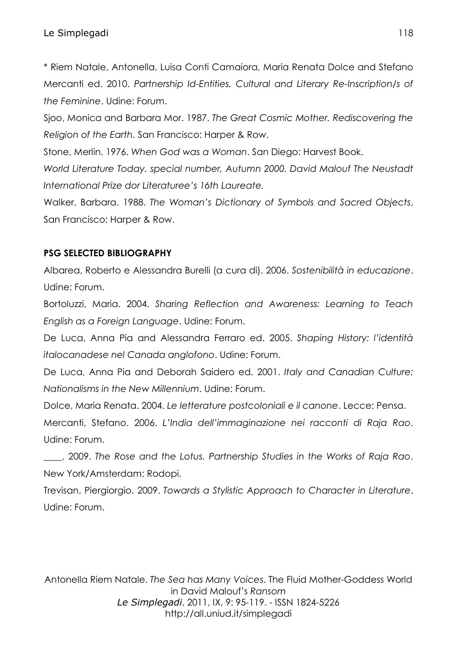## Le Simplegadi 118

\* Riem Natale, Antonella, Luisa Conti Camaiora, Maria Renata Dolce and Stefano Mercanti ed. 2010. *Partnership Id-Entities. Cultural and Literary Re-Inscription/s of the Feminine*. Udine: Forum.

Sjoo, Monica and Barbara Mor. 1987. *The Great Cosmic Mother. Rediscovering the Religion of the Earth.* San Francisco: Harper & Row.

Stone, Merlin. 1976. *When God was a Woman*. San Diego: Harvest Book.

*World Literature Today. special number, Autumn 2000. David Malouf The Neustadt International Prize dor Literaturee's 16th Laureate.*

Walker, Barbara. 1988. *The Woman's Dictionary of Symbols and Sacred Objects*, San Francisco: Harper & Row.

### **PSG SELECTED BIBLIOGRAPHY**

Albarea, Roberto e Alessandra Burelli (a cura di). 2006. *Sostenibilità in educazione*. Udine: Forum.

Bortoluzzi, Maria. 2004. *Sharing Reflection and Awareness: Learning to Teach English as a Foreign Language*. Udine: Forum.

De Luca, Anna Pia and Alessandra Ferraro ed. 2005. *Shaping History: l'identità italocanadese nel Canada anglofono*. Udine: Forum.

De Luca, Anna Pia and Deborah Saidero ed. 2001. *Italy and Canadian Culture: Nationalisms in the New Millennium*. Udine: Forum.

Dolce, Maria Renata. 2004. *Le letterature postcoloniali e il canone*. Lecce: Pensa. Mercanti, Stefano. 2006. *L'India dell'immaginazione nei racconti di Raja Rao*. Udine: Forum.

\_\_\_\_. 2009. *The Rose and the Lotus. Partnership Studies in the Works of Raja Rao*. New York/Amsterdam: Rodopi.

Trevisan, Piergiorgio. 2009. *Towards a Stylistic Approach to Character in Literature*. Udine: Forum.